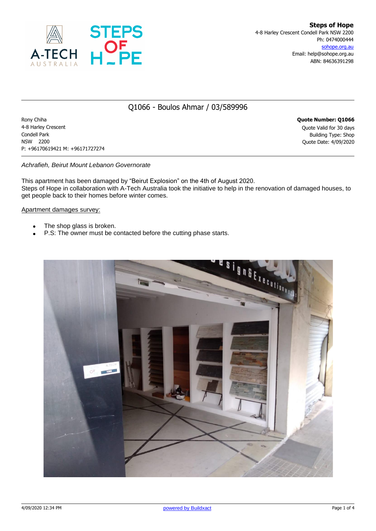

### Q1066 - Boulos Ahmar / 03/589996

Rony Chiha **Quote Number: Q1066** 4-8 Harley Crescent Quote Valid for 30 days Condell Park Building Type: Shop NSW 2200 Quote Date: 4/09/2020 P: +96170619421 M: +96171727274

#### *Achrafieh, Beirut Mount Lebanon Governorate*

This apartment has been damaged by "Beirut Explosion" on the 4th of August 2020. Steps of Hope in collaboration with A-Tech Australia took the initiative to help in the renovation of damaged houses, to get people back to their homes before winter comes.

#### Apartment damages survey:

- The shop glass is broken.
- P.S: The owner must be contacted before the cutting phase starts.

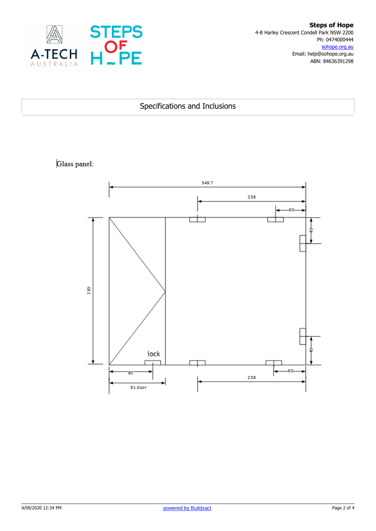

### Specifications and Inclusions

## Glass panel:

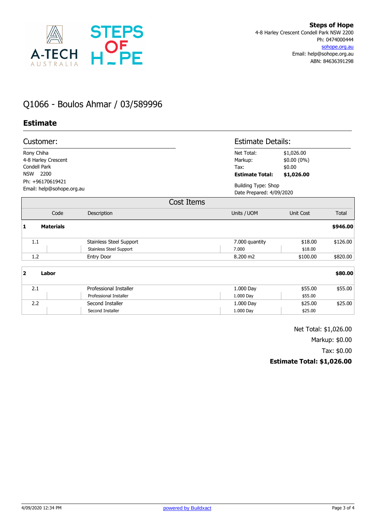

# Q1066 - Boulos Ahmar / 03/589996

### **Estimate**

| Customer:<br>Rony Chiha<br>4-8 Harley Crescent<br>Condell Park<br>2200<br><b>NSW</b><br>Ph: +96170619421<br>Email: help@sohope.org.au |                                                           |                                                         | <b>Estimate Details:</b>                                                                                     |          |  |
|---------------------------------------------------------------------------------------------------------------------------------------|-----------------------------------------------------------|---------------------------------------------------------|--------------------------------------------------------------------------------------------------------------|----------|--|
|                                                                                                                                       |                                                           | Net Total:<br>Markup:<br>Tax:<br><b>Estimate Total:</b> | \$1,026.00<br>$$0.00(0\%)$<br>\$0.00<br>\$1,026.00<br><b>Building Type: Shop</b><br>Date Prepared: 4/09/2020 |          |  |
|                                                                                                                                       |                                                           |                                                         |                                                                                                              |          |  |
|                                                                                                                                       | Cost Items                                                |                                                         |                                                                                                              |          |  |
| Code                                                                                                                                  | Description                                               | Units / UOM                                             | <b>Unit Cost</b>                                                                                             | Total    |  |
| <b>Materials</b><br>1                                                                                                                 |                                                           |                                                         |                                                                                                              | \$946.00 |  |
| 1.1                                                                                                                                   | Stainless Steel Support<br><b>Stainless Steel Support</b> | 7.000 quantity<br>7.000                                 | \$18.00<br>\$18.00                                                                                           | \$126.00 |  |
| 1.2                                                                                                                                   | <b>Entry Door</b>                                         | 8.200 m2                                                | \$100.00                                                                                                     | \$820.00 |  |
| $\overline{2}$<br>Labor                                                                                                               |                                                           |                                                         |                                                                                                              | \$80.00  |  |
| 2.1                                                                                                                                   | Professional Installer                                    | 1.000 Day                                               | \$55.00                                                                                                      | \$55.00  |  |
|                                                                                                                                       | Professional Installer                                    | 1.000 Day                                               | \$55.00                                                                                                      |          |  |
| 2.2                                                                                                                                   | Second Installer                                          | 1.000 Day                                               | \$25.00                                                                                                      | \$25.00  |  |
|                                                                                                                                       | Second Installer                                          | 1.000 Day                                               | \$25.00                                                                                                      |          |  |

Net Total: \$1,026.00 Markup: \$0.00

Tax: \$0.00

#### **Estimate Total: \$1,026.00**